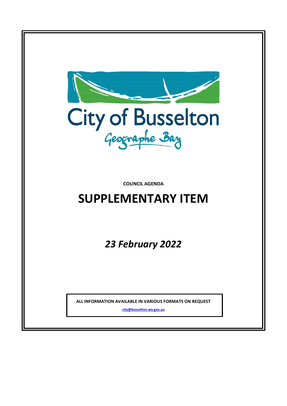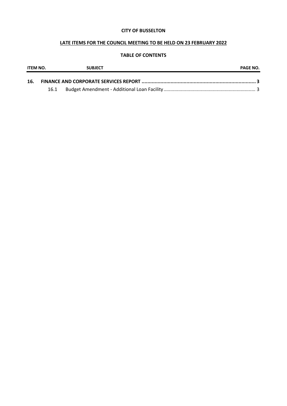### **CITY OF BUSSELTON**

## **LATE ITEMS FOR THE COUNCIL MEETING TO BE HELD ON 23 FEBRUARY 2022**

### **TABLE OF CONTENTS**

| ITEM NO. | <b>SUBJECT</b> |  | <b>PAGE NO.</b> |  |
|----------|----------------|--|-----------------|--|
| 16.      |                |  |                 |  |
|          | 16.1           |  |                 |  |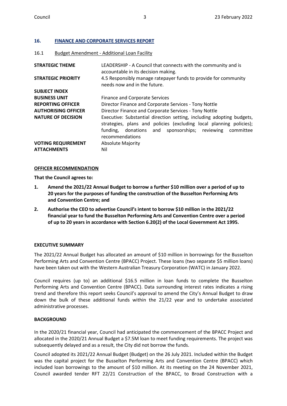### <span id="page-2-0"></span>**16. FINANCE AND CORPORATE SERVICES REPORT**

#### <span id="page-2-1"></span>16.1 Budget Amendment - Additional Loan Facility

| <b>STRATEGIC THEME</b>                          | LEADERSHIP - A Council that connects with the community and is<br>accountable in its decision making.                                                                                                                          |
|-------------------------------------------------|--------------------------------------------------------------------------------------------------------------------------------------------------------------------------------------------------------------------------------|
| <b>STRATEGIC PRIORITY</b>                       | 4.5 Responsibly manage ratepayer funds to provide for community<br>needs now and in the future.                                                                                                                                |
| <b>SUBJECT INDEX</b>                            |                                                                                                                                                                                                                                |
| <b>BUSINESS UNIT</b>                            | <b>Finance and Corporate Services</b>                                                                                                                                                                                          |
| <b>REPORTING OFFICER</b>                        | Director Finance and Corporate Services - Tony Nottle                                                                                                                                                                          |
| <b>AUTHORISING OFFICER</b>                      | Director Finance and Corporate Services - Tony Nottle                                                                                                                                                                          |
| <b>NATURE OF DECISION</b>                       | Executive: Substantial direction setting, including adopting budgets,<br>strategies, plans and policies (excluding local planning policies);<br>funding, donations and sponsorships; reviewing<br>committee<br>recommendations |
| <b>VOTING REQUIREMENT</b><br><b>ATTACHMENTS</b> | <b>Absolute Majority</b><br>Nil                                                                                                                                                                                                |

#### **OFFICER RECOMMENDATION**

**That the Council agrees to:**

- **1. Amend the 2021/22 Annual Budget to borrow a further \$10 million over a period of up to 20 years for the purposes of funding the construction of the Busselton Performing Arts and Convention Centre; and**
- **2. Authorise the CEO to advertise Council's intent to borrow \$10 million in the 2021/22 financial year to fund the Busselton Performing Arts and Convention Centre over a period of up to 20 years in accordance with Section 6.20(2) of the Local Government Act 1995.**

#### **EXECUTIVE SUMMARY**

The 2021/22 Annual Budget has allocated an amount of \$10 million in borrowings for the Busselton Performing Arts and Convention Centre (BPACC) Project. These loans (two separate \$5 million loans) have been taken out with the Western Australian Treasury Corporation (WATC) in January 2022.

Council requires (up to) an additional \$16.5 million in loan funds to complete the Busselton Performing Arts and Convention Centre (BPACC). Data surrounding interest rates indicates a rising trend and therefore this report seeks Council's approval to amend the City's Annual Budget to draw down the bulk of these additional funds within the 21/22 year and to undertake associated administrative processes.

#### **BACKGROUND**

In the 2020/21 financial year, Council had anticipated the commencement of the BPACC Project and allocated in the 2020/21 Annual Budget a \$7.5M loan to meet funding requirements. The project was subsequently delayed and as a result, the City did not borrow the funds.

Council adopted its 2021/22 Annual Budget (Budget) on the 26 July 2021. Included within the Budget was the capital project for the Busselton Performing Arts and Convention Centre (BPACC) which included loan borrowings to the amount of \$10 million. At its meeting on the 24 November 2021, Council awarded tender RFT 22/21 Construction of the BPACC, to Broad Construction with a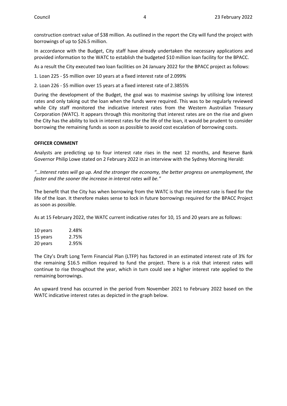construction contract value of \$38 million. As outlined in the report the City will fund the project with borrowings of up to \$26.5 million.

In accordance with the Budget, City staff have already undertaken the necessary applications and provided information to the WATC to establish the budgeted \$10 million loan facility for the BPACC.

As a result the City executed two loan facilities on 24 January 2022 for the BPACC project as follows:

1. Loan 225 - \$5 million over 10 years at a fixed interest rate of 2.099%

2. Loan 226 - \$5 million over 15 years at a fixed interest rate of 2.3855%

During the development of the Budget, the goal was to maximise savings by utilising low interest rates and only taking out the loan when the funds were required. This was to be regularly reviewed while City staff monitored the indicative interest rates from the Western Australian Treasury Corporation (WATC). It appears through this monitoring that interest rates are on the rise and given the City has the ability to lock in interest rates for the life of the loan, it would be prudent to consider borrowing the remaining funds as soon as possible to avoid cost escalation of borrowing costs.

### **OFFICER COMMENT**

Analysts are predicting up to four interest rate rises in the next 12 months, and Reserve Bank Governor Philip Lowe stated on 2 February 2022 in an interview with the Sydney Morning Herald:

*"…Interest rates will go up. And the stronger the economy, the better progress on unemployment, the faster and the sooner the increase in interest rates will be."*

The benefit that the City has when borrowing from the WATC is that the interest rate is fixed for the life of the loan. It therefore makes sense to lock in future borrowings required for the BPACC Project as soon as possible.

As at 15 February 2022, the WATC current indicative rates for 10, 15 and 20 years are as follows:

| 10 years | 2.48% |
|----------|-------|
| 15 years | 2.75% |
| 20 years | 2.95% |

The City's Draft Long Term Financial Plan (LTFP) has factored in an estimated interest rate of 3% for the remaining \$16.5 million required to fund the project. There is a risk that interest rates will continue to rise throughout the year, which in turn could see a higher interest rate applied to the remaining borrowings.

An upward trend has occurred in the period from November 2021 to February 2022 based on the WATC indicative interest rates as depicted in the graph below.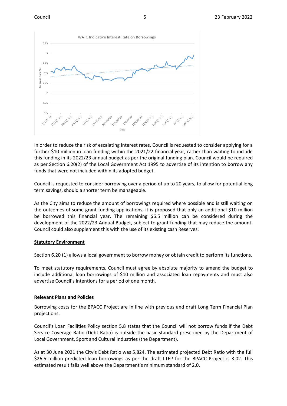

In order to reduce the risk of escalating interest rates, Council is requested to consider applying for a further \$10 million in loan funding within the 2021/22 financial year, rather than waiting to include this funding in its 2022/23 annual budget as per the original funding plan. Council would be required as per Section 6.20(2) of the Local Government Act 1995 to advertise of its intention to borrow any funds that were not included within its adopted budget.

Council is requested to consider borrowing over a period of up to 20 years, to allow for potential long term savings, should a shorter term be manageable.

As the City aims to reduce the amount of borrowings required where possible and is still waiting on the outcomes of some grant funding applications, it is proposed that only an additional \$10 million be borrowed this financial year. The remaining \$6.5 million can be considered during the development of the 2022/23 Annual Budget, subject to grant funding that may reduce the amount. Council could also supplement this with the use of its existing cash Reserves.

#### **Statutory Environment**

Section 6.20 (1) allows a local government to borrow money or obtain credit to perform its functions.

To meet statutory requirements, Council must agree by absolute majority to amend the budget to include additional loan borrowings of \$10 million and associated loan repayments and must also advertise Council's intentions for a period of one month.

# **Relevant Plans and Policies**

Borrowing costs for the BPACC Project are in line with previous and draft Long Term Financial Plan projections.

Council's Loan Facilities Policy section 5.8 states that the Council will not borrow funds if the Debt Service Coverage Ratio (Debt Ratio) is outside the basic standard prescribed by the Department of Local Government, Sport and Cultural Industries (the Department).

As at 30 June 2021 the City's Debt Ratio was 5.824. The estimated projected Debt Ratio with the full \$26.5 million predicted loan borrowings as per the draft LTFP for the BPACC Project is 3.02. This estimated result falls well above the Department's minimum standard of 2.0.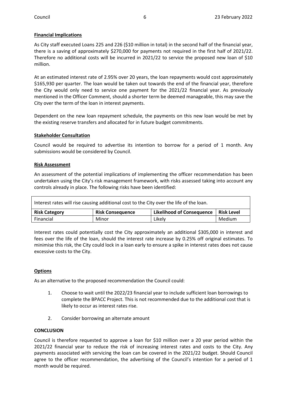# **Financial Implications**

As City staff executed Loans 225 and 226 (\$10 million in total) in the second half of the financial year, there is a saving of approximately \$270,000 for payments not required in the first half of 2021/22. Therefore no additional costs will be incurred in 2021/22 to service the proposed new loan of \$10 million.

At an estimated interest rate of 2.95% over 20 years, the loan repayments would cost approximately \$165,930 per quarter. The loan would be taken out towards the end of the financial year, therefore the City would only need to service one payment for the 2021/22 financial year. As previously mentioned in the Officer Comment, should a shorter term be deemed manageable, this may save the City over the term of the loan in interest payments.

Dependent on the new loan repayment schedule, the payments on this new loan would be met by the existing reserve transfers and allocated for in future budget commitments.

### **Stakeholder Consultation**

Council would be required to advertise its intention to borrow for a period of 1 month. Any submissions would be considered by Council.

### **Risk Assessment**

An assessment of the potential implications of implementing the officer recommendation has been undertaken using the City's risk management framework, with risks assessed taking into account any controls already in place. The following risks have been identified:

| Interest rates will rise causing additional cost to the City over the life of the loan. |                         |                                  |                   |  |  |  |  |  |
|-----------------------------------------------------------------------------------------|-------------------------|----------------------------------|-------------------|--|--|--|--|--|
| <b>Risk Category</b>                                                                    | <b>Risk Consequence</b> | <b>Likelihood of Consequence</b> | <b>Risk Level</b> |  |  |  |  |  |
| Financial                                                                               | Minor                   | Likelv                           | Medium            |  |  |  |  |  |

Interest rates could potentially cost the City approximately an additional \$305,000 in interest and fees over the life of the loan, should the interest rate increase by 0.25% off original estimates. To minimise this risk, the City could lock in a loan early to ensure a spike in interest rates does not cause excessive costs to the City.

# **Options**

As an alternative to the proposed recommendation the Council could:

- 1. Choose to wait until the 2022/23 financial year to include sufficient loan borrowings to complete the BPACC Project. This is not recommended due to the additional cost that is likely to occur as interest rates rise.
- 2. Consider borrowing an alternate amount

#### **CONCLUSION**

Council is therefore requested to approve a loan for \$10 million over a 20 year period within the 2021/22 financial year to reduce the risk of increasing interest rates and costs to the City. Any payments associated with servicing the loan can be covered in the 2021/22 budget. Should Council agree to the officer recommendation, the advertising of the Council's intention for a period of 1 month would be required.